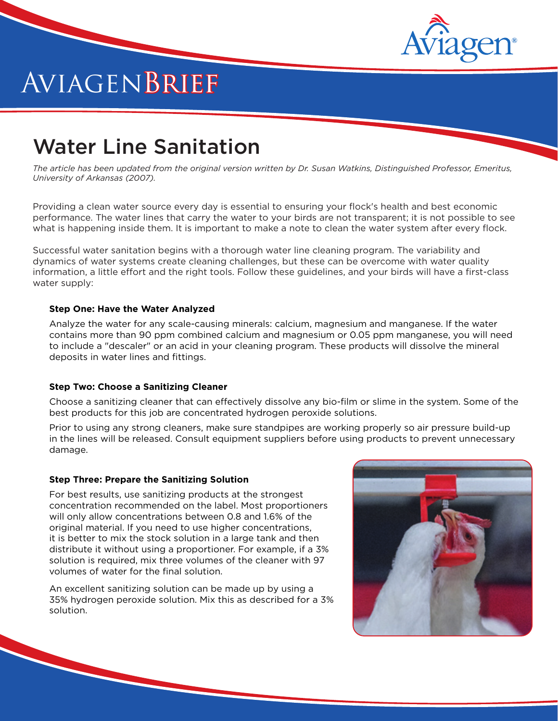

# AviagenBrief

# Water Line Sanitation

*The article has been updated from the original version written by Dr. Susan Watkins, Distinguished Professor, Emeritus, University of Arkansas (2007).*

Providing a clean water source every day is essential to ensuring your flock's health and best economic performance. The water lines that carry the water to your birds are not transparent; it is not possible to see what is happening inside them. It is important to make a note to clean the water system after every flock.

Successful water sanitation begins with a thorough water line cleaning program. The variability and dynamics of water systems create cleaning challenges, but these can be overcome with water quality information, a little effort and the right tools. Follow these guidelines, and your birds will have a first-class water supply:

#### **Step One: Have the Water Analyzed**

Analyze the water for any scale-causing minerals: calcium, magnesium and manganese. If the water contains more than 90 ppm combined calcium and magnesium or 0.05 ppm manganese, you will need to include a "descaler" or an acid in your cleaning program. These products will dissolve the mineral deposits in water lines and fittings.

#### **Step Two: Choose a Sanitizing Cleaner**

Choose a sanitizing cleaner that can effectively dissolve any bio-film or slime in the system. Some of the best products for this job are concentrated hydrogen peroxide solutions.

Prior to using any strong cleaners, make sure standpipes are working properly so air pressure build-up in the lines will be released. Consult equipment suppliers before using products to prevent unnecessary damage.

#### **Step Three: Prepare the Sanitizing Solution**

For best results, use sanitizing products at the strongest concentration recommended on the label. Most proportioners will only allow concentrations between 0.8 and 1.6% of the original material. If you need to use higher concentrations, it is better to mix the stock solution in a large tank and then distribute it without using a proportioner. For example, if a 3% solution is required, mix three volumes of the cleaner with 97 volumes of water for the final solution.

An excellent sanitizing solution can be made up by using a 35% hydrogen peroxide solution. Mix this as described for a 3% solution.

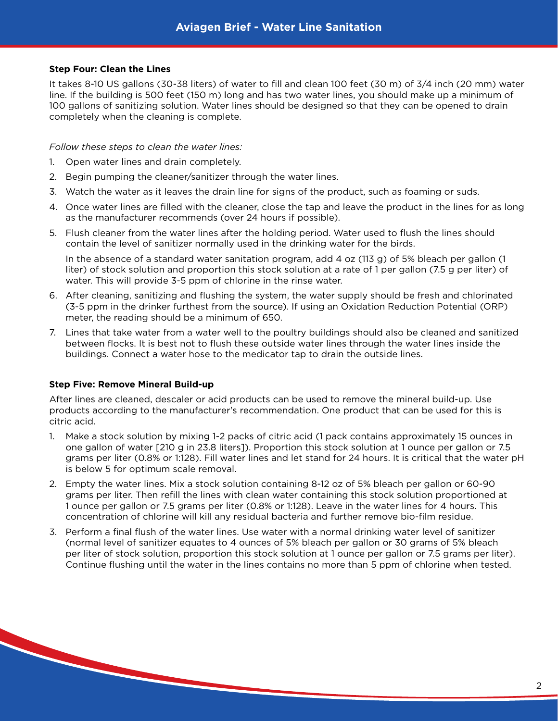#### **Step Four: Clean the Lines**

It takes 8-10 US gallons (30-38 liters) of water to fill and clean 100 feet (30 m) of 3/4 inch (20 mm) water line. If the building is 500 feet (150 m) long and has two water lines, you should make up a minimum of 100 gallons of sanitizing solution. Water lines should be designed so that they can be opened to drain completely when the cleaning is complete.

#### *Follow these steps to clean the water lines:*

- 1. Open water lines and drain completely.
- 2. Begin pumping the cleaner/sanitizer through the water lines.
- 3. Watch the water as it leaves the drain line for signs of the product, such as foaming or suds.
- 4. Once water lines are filled with the cleaner, close the tap and leave the product in the lines for as long as the manufacturer recommends (over 24 hours if possible).
- 5. Flush cleaner from the water lines after the holding period. Water used to flush the lines should contain the level of sanitizer normally used in the drinking water for the birds.

In the absence of a standard water sanitation program, add 4 oz (113 g) of 5% bleach per gallon (1 liter) of stock solution and proportion this stock solution at a rate of 1 per gallon (7.5 g per liter) of water. This will provide 3-5 ppm of chlorine in the rinse water.

- 6. After cleaning, sanitizing and flushing the system, the water supply should be fresh and chlorinated (3-5 ppm in the drinker furthest from the source). If using an Oxidation Reduction Potential (ORP) meter, the reading should be a minimum of 650.
- 7. Lines that take water from a water well to the poultry buildings should also be cleaned and sanitized between flocks. It is best not to flush these outside water lines through the water lines inside the buildings. Connect a water hose to the medicator tap to drain the outside lines.

#### **Step Five: Remove Mineral Build-up**

After lines are cleaned, descaler or acid products can be used to remove the mineral build-up. Use products according to the manufacturer's recommendation. One product that can be used for this is citric acid.

- 1. Make a stock solution by mixing 1-2 packs of citric acid (1 pack contains approximately 15 ounces in one gallon of water [210 g in 23.8 liters]). Proportion this stock solution at 1 ounce per gallon or 7.5 grams per liter (0.8% or 1:128). Fill water lines and let stand for 24 hours. It is critical that the water pH is below 5 for optimum scale removal.
- 2. Empty the water lines. Mix a stock solution containing 8-12 oz of 5% bleach per gallon or 60-90 grams per liter. Then refill the lines with clean water containing this stock solution proportioned at 1 ounce per gallon or 7.5 grams per liter (0.8% or 1:128). Leave in the water lines for 4 hours. This concentration of chlorine will kill any residual bacteria and further remove bio-film residue.
- 3. Perform a final flush of the water lines. Use water with a normal drinking water level of sanitizer (normal level of sanitizer equates to 4 ounces of 5% bleach per gallon or 30 grams of 5% bleach per liter of stock solution, proportion this stock solution at 1 ounce per gallon or 7.5 grams per liter). Continue flushing until the water in the lines contains no more than 5 ppm of chlorine when tested.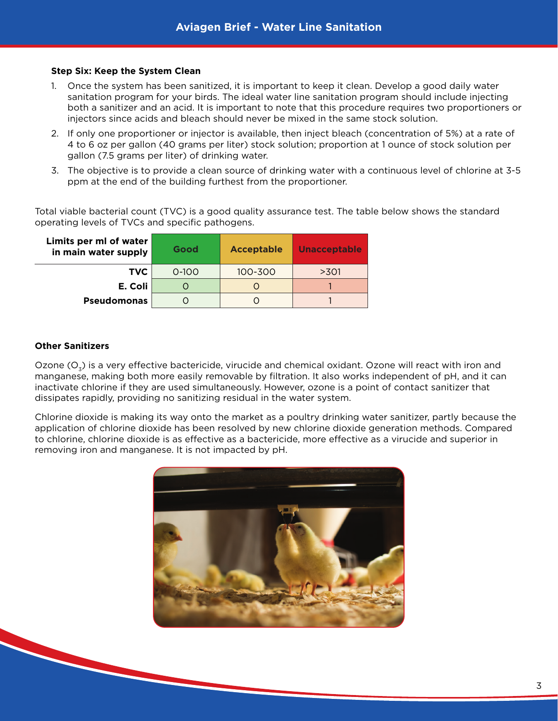### **Step Six: Keep the System Clean**

- 1. Once the system has been sanitized, it is important to keep it clean. Develop a good daily water sanitation program for your birds. The ideal water line sanitation program should include injecting both a sanitizer and an acid. It is important to note that this procedure requires two proportioners or injectors since acids and bleach should never be mixed in the same stock solution.
- 2. If only one proportioner or injector is available, then inject bleach (concentration of 5%) at a rate of 4 to 6 oz per gallon (40 grams per liter) stock solution; proportion at 1 ounce of stock solution per gallon (7.5 grams per liter) of drinking water.
- 3. The objective is to provide a clean source of drinking water with a continuous level of chlorine at 3-5 ppm at the end of the building furthest from the proportioner.

Total viable bacterial count (TVC) is a good quality assurance test. The table below shows the standard operating levels of TVCs and specific pathogens.

| Limits per ml of water<br>in main water supply | Good      | Acceptable | <b>Unacceptable</b> |
|------------------------------------------------|-----------|------------|---------------------|
| TVC.                                           | $0 - 100$ | 100-300    | >301                |
| E. Coli                                        |           |            |                     |
| <b>Pseudomonas</b>                             |           |            |                     |

## **Other Sanitizers**

Ozone  $(O_3)$  is a very effective bactericide, virucide and chemical oxidant. Ozone will react with iron and manganese, making both more easily removable by filtration. It also works independent of pH, and it can inactivate chlorine if they are used simultaneously. However, ozone is a point of contact sanitizer that dissipates rapidly, providing no sanitizing residual in the water system.

Chlorine dioxide is making its way onto the market as a poultry drinking water sanitizer, partly because the application of chlorine dioxide has been resolved by new chlorine dioxide generation methods. Compared to chlorine, chlorine dioxide is as effective as a bactericide, more effective as a virucide and superior in removing iron and manganese. It is not impacted by pH.